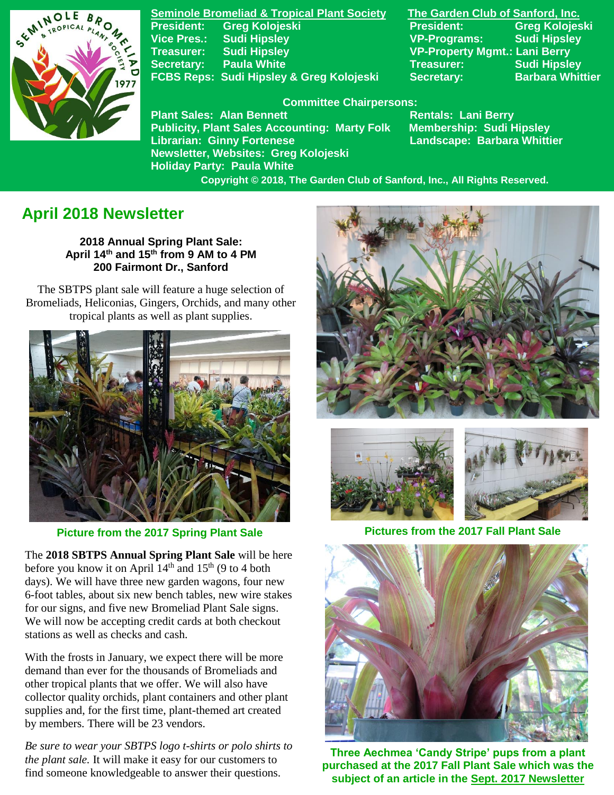

**Seminole Bromeliad & Tropical Plant Society The Garden Club of Sanford, Inc. President: Greg Kolojeski President: Greg Kolojeski Vice Pres.: Sudi Hipsley VP-Programs: Sudi Hipsley Treasurer: Sudi Hipsley VP-Property Mgmt.: Lani Berry Secretary:** Paula White **Network Secretary:** Sudi Hipsley FCBS Reps: Sudi Hipsley & Greg Kolojeski Secretary: Barbara Whittier

### **Committee Chairpersons:**

**Plant Sales: Alan Bennett** Rentals: Lani Berry **Publicity, Plant Sales Accounting: Marty Folk Membership: Sudi Hipsley Librarian: Ginny Fortenese Landscape: Barbara Whittier Newsletter, Websites: Greg Kolojeski Holiday Party: Paula White** 

 **Copyright © 2018, The Garden Club of Sanford, Inc., All Rights Reserved.**

# **April 2018 Newsletter**

**2018 Annual Spring Plant Sale: April 14th and 15th from 9 AM to 4 PM 200 Fairmont Dr., Sanford**

 The SBTPS plant sale will feature a huge selection of  Bromeliads, Heliconias, Gingers, Orchids, and many other tropical plants as well as plant supplies.



**Picture from the 2017 Spring Plant Sale**

 The **2018 SBTPS Annual Spring Plant Sale** will be here  6-foot tables, about six new bench tables, new wire stakes before you know it on April  $14<sup>th</sup>$  and  $15<sup>th</sup>$  (9 to 4 both days). We will have three new garden wagons, four new for our signs, and five new Bromeliad Plant Sale signs. We will now be accepting credit cards at both checkout stations as well as checks and cash.

With the frosts in January, we expect there will be more demand than ever for the thousands of Bromeliads and other tropical plants that we offer. We will also have collector quality orchids, plant containers and other plant supplies and, for the first time, plant-themed art created by members. There will be 23 vendors.

*Be sure to wear your SBTPS logo t-shirts or polo shirts to the plant sale.* It will make it easy for our customers to find someone knowledgeable to answer their questions.





 **Pictures from the 2017 Fall Plant Sale**



**Three Aechmea 'Candy Stripe' pups from a plant purchased at the 2017 Fall Plant Sale which was the subject of an article in the [Sept. 2017 Newsletter](https://nebula.wsimg.com/bede6e44527a9b6568a0c3c30d66d1a9?AccessKeyId=993C1F6CBDAB32D337A8&disposition=0&alloworigin=1)**